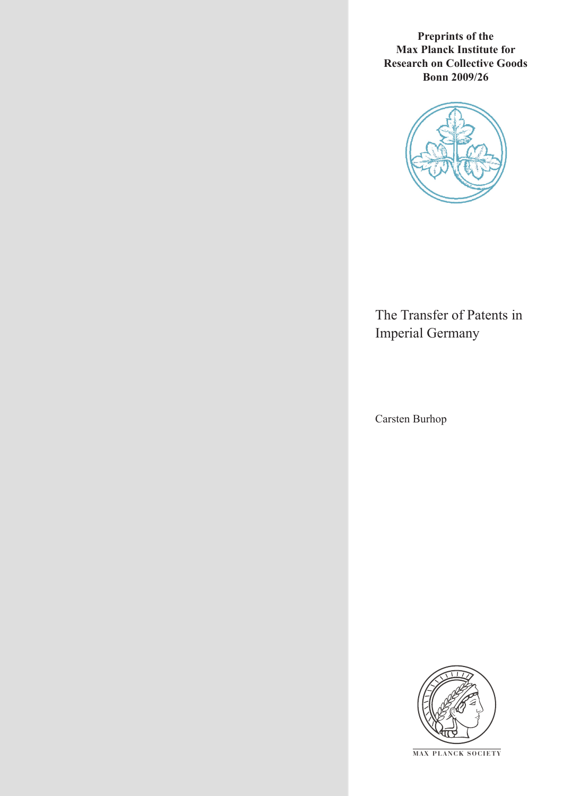**Preprints of the Max Planck Institute for Research on Collective Goods Bonn 2009/26**



# The Transfer of Patents in Imperial Germany

Carsten Burhop



**M AX P L A N C K S O C I E T Y**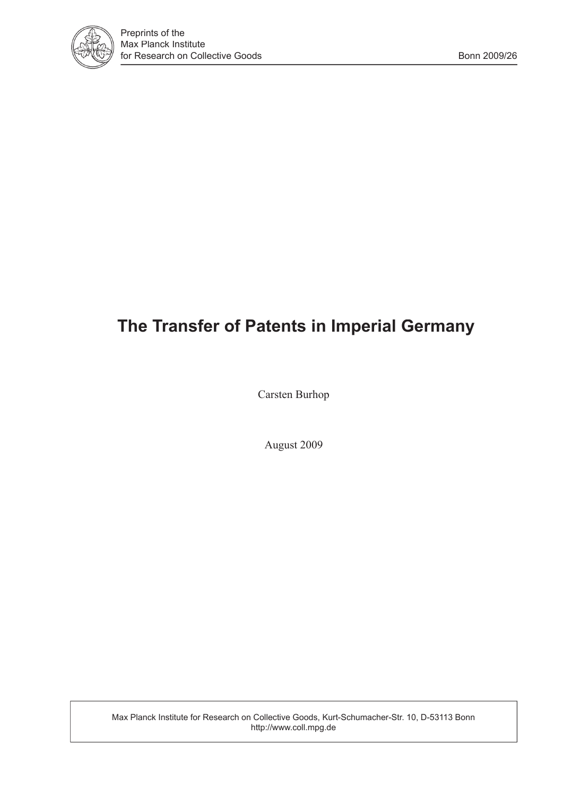

# **The Transfer of Patents in Imperial Germany**

Carsten Burhop

August 2009

Max Planck Institute for Research on Collective Goods, Kurt-Schumacher-Str. 10, D-53113 Bonn http://www.coll.mpg.de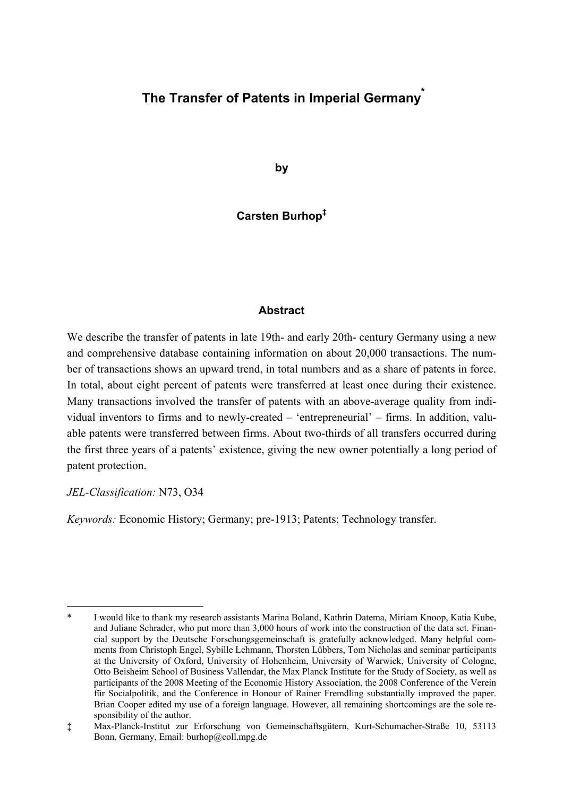# **The Transfer of Patents in Imperial Germany\***

**by** 

**Carsten Burhop‡**

### **Abstract**

We describe the transfer of patents in late 19th- and early 20th- century Germany using a new and comprehensive database containing information on about 20,000 transactions. The number of transactions shows an upward trend, in total numbers and as a share of patents in force. In total, about eight percent of patents were transferred at least once during their existence. Many transactions involved the transfer of patents with an above-average quality from individual inventors to firms and to newly-created – 'entrepreneurial' – firms. In addition, valuable patents were transferred between firms. About two-thirds of all transfers occurred during the first three years of a patents' existence, giving the new owner potentially a long period of patent protection.

### *JEL-Classification:* N73, O34

*Keywords:* Economic History; Germany; pre-1913; Patents; Technology transfer.

<sup>-</sup>I would like to thank my research assistants Marina Boland, Kathrin Datema, Miriam Knoop, Katia Kube, and Juliane Schrader, who put more than 3,000 hours of work into the construction of the data set. Financial support by the Deutsche Forschungsgemeinschaft is gratefully acknowledged. Many helpful comments from Christoph Engel, Sybille Lehmann, Thorsten Lübbers, Tom Nicholas and seminar participants at the University of Oxford, University of Hohenheim, University of Warwick, University of Cologne, Otto Beisheim School of Business Vallendar, the Max Planck Institute for the Study of Society, as well as participants of the 2008 Meeting of the Economic History Association, the 2008 Conference of the Verein für Socialpolitik, and the Conference in Honour of Rainer Fremdling substantially improved the paper. Brian Cooper edited my use of a foreign language. However, all remaining shortcomings are the sole responsibility of the author.

<sup>‡</sup> Max-Planck-Institut zur Erforschung von Gemeinschaftsgütern, Kurt-Schumacher-Straße 10, 53113 Bonn, Germany, Email: burhop@coll.mpg.de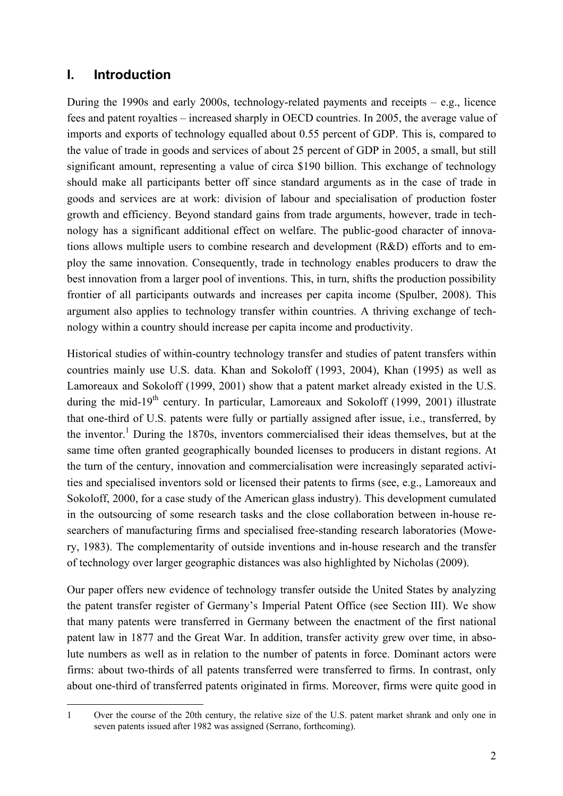# **I. Introduction**

During the 1990s and early 2000s, technology-related payments and receipts – e.g., licence fees and patent royalties – increased sharply in OECD countries. In 2005, the average value of imports and exports of technology equalled about 0.55 percent of GDP. This is, compared to the value of trade in goods and services of about 25 percent of GDP in 2005, a small, but still significant amount, representing a value of circa \$190 billion. This exchange of technology should make all participants better off since standard arguments as in the case of trade in goods and services are at work: division of labour and specialisation of production foster growth and efficiency. Beyond standard gains from trade arguments, however, trade in technology has a significant additional effect on welfare. The public-good character of innovations allows multiple users to combine research and development (R&D) efforts and to employ the same innovation. Consequently, trade in technology enables producers to draw the best innovation from a larger pool of inventions. This, in turn, shifts the production possibility frontier of all participants outwards and increases per capita income (Spulber, 2008). This argument also applies to technology transfer within countries. A thriving exchange of technology within a country should increase per capita income and productivity.

Historical studies of within-country technology transfer and studies of patent transfers within countries mainly use U.S. data. Khan and Sokoloff (1993, 2004), Khan (1995) as well as Lamoreaux and Sokoloff (1999, 2001) show that a patent market already existed in the U.S. during the mid-19<sup>th</sup> century. In particular, Lamoreaux and Sokoloff (1999, 2001) illustrate that one-third of U.S. patents were fully or partially assigned after issue, i.e., transferred, by the inventor.<sup>1</sup> During the 1870s, inventors commercialised their ideas themselves, but at the same time often granted geographically bounded licenses to producers in distant regions. At the turn of the century, innovation and commercialisation were increasingly separated activities and specialised inventors sold or licensed their patents to firms (see, e.g., Lamoreaux and Sokoloff, 2000, for a case study of the American glass industry). This development cumulated in the outsourcing of some research tasks and the close collaboration between in-house researchers of manufacturing firms and specialised free-standing research laboratories (Mowery, 1983). The complementarity of outside inventions and in-house research and the transfer of technology over larger geographic distances was also highlighted by Nicholas (2009).

Our paper offers new evidence of technology transfer outside the United States by analyzing the patent transfer register of Germany's Imperial Patent Office (see Section III). We show that many patents were transferred in Germany between the enactment of the first national patent law in 1877 and the Great War. In addition, transfer activity grew over time, in absolute numbers as well as in relation to the number of patents in force. Dominant actors were firms: about two-thirds of all patents transferred were transferred to firms. In contrast, only about one-third of transferred patents originated in firms. Moreover, firms were quite good in

<sup>-</sup>1 Over the course of the 20th century, the relative size of the U.S. patent market shrank and only one in seven patents issued after 1982 was assigned (Serrano, forthcoming).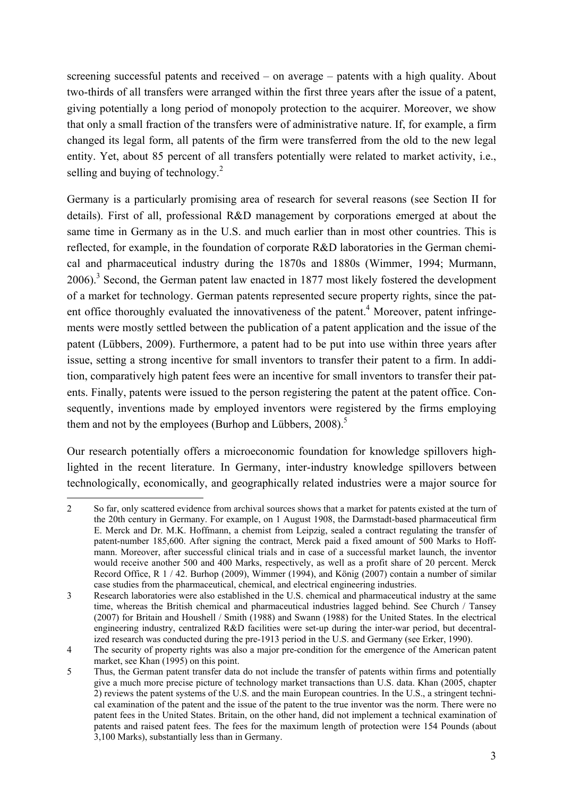screening successful patents and received – on average – patents with a high quality. About two-thirds of all transfers were arranged within the first three years after the issue of a patent, giving potentially a long period of monopoly protection to the acquirer. Moreover, we show that only a small fraction of the transfers were of administrative nature. If, for example, a firm changed its legal form, all patents of the firm were transferred from the old to the new legal entity. Yet, about 85 percent of all transfers potentially were related to market activity, i.e., selling and buying of technology. $^{2}$ 

Germany is a particularly promising area of research for several reasons (see Section II for details). First of all, professional R&D management by corporations emerged at about the same time in Germany as in the U.S. and much earlier than in most other countries. This is reflected, for example, in the foundation of corporate R&D laboratories in the German chemical and pharmaceutical industry during the 1870s and 1880s (Wimmer, 1994; Murmann, 2006).<sup>3</sup> Second, the German patent law enacted in 1877 most likely fostered the development of a market for technology. German patents represented secure property rights, since the patent office thoroughly evaluated the innovativeness of the patent.<sup>4</sup> Moreover, patent infringements were mostly settled between the publication of a patent application and the issue of the patent (Lübbers, 2009). Furthermore, a patent had to be put into use within three years after issue, setting a strong incentive for small inventors to transfer their patent to a firm. In addition, comparatively high patent fees were an incentive for small inventors to transfer their patents. Finally, patents were issued to the person registering the patent at the patent office. Consequently, inventions made by employed inventors were registered by the firms employing them and not by the employees (Burhop and Lübbers,  $2008$ ).<sup>5</sup>

Our research potentially offers a microeconomic foundation for knowledge spillovers highlighted in the recent literature. In Germany, inter-industry knowledge spillovers between technologically, economically, and geographically related industries were a major source for

<sup>-</sup>2 So far, only scattered evidence from archival sources shows that a market for patents existed at the turn of the 20th century in Germany. For example, on 1 August 1908, the Darmstadt-based pharmaceutical firm E. Merck and Dr. M.K. Hoffmann, a chemist from Leipzig, sealed a contract regulating the transfer of patent-number 185,600. After signing the contract, Merck paid a fixed amount of 500 Marks to Hoffmann. Moreover, after successful clinical trials and in case of a successful market launch, the inventor would receive another 500 and 400 Marks, respectively, as well as a profit share of 20 percent. Merck Record Office, R 1 / 42. Burhop (2009), Wimmer (1994), and König (2007) contain a number of similar case studies from the pharmaceutical, chemical, and electrical engineering industries.

<sup>3</sup> Research laboratories were also established in the U.S. chemical and pharmaceutical industry at the same time, whereas the British chemical and pharmaceutical industries lagged behind. See Church / Tansey (2007) for Britain and Houshell / Smith (1988) and Swann (1988) for the United States. In the electrical engineering industry, centralized R&D facilities were set-up during the inter-war period, but decentralized research was conducted during the pre-1913 period in the U.S. and Germany (see Erker, 1990).

<sup>4</sup> The security of property rights was also a major pre-condition for the emergence of the American patent market, see Khan (1995) on this point.

<sup>5</sup> Thus, the German patent transfer data do not include the transfer of patents within firms and potentially give a much more precise picture of technology market transactions than U.S. data. Khan (2005, chapter 2) reviews the patent systems of the U.S. and the main European countries. In the U.S., a stringent technical examination of the patent and the issue of the patent to the true inventor was the norm. There were no patent fees in the United States. Britain, on the other hand, did not implement a technical examination of patents and raised patent fees. The fees for the maximum length of protection were 154 Pounds (about 3,100 Marks), substantially less than in Germany.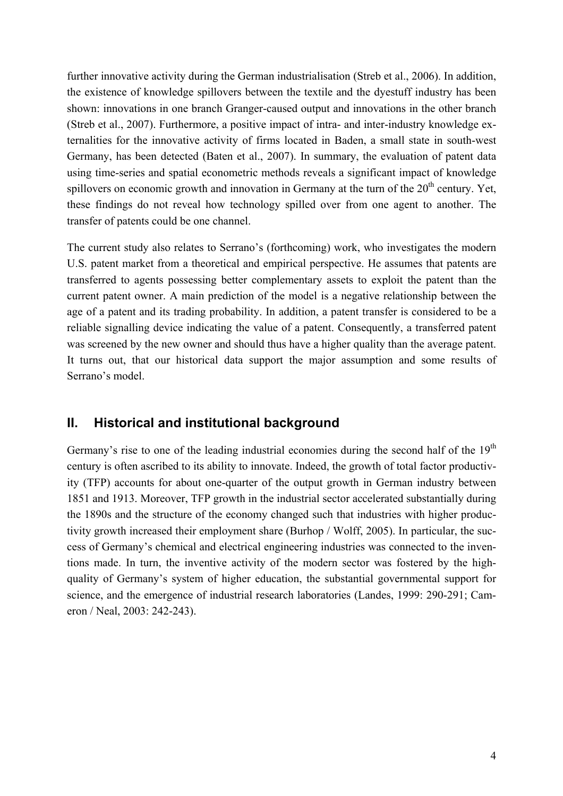further innovative activity during the German industrialisation (Streb et al., 2006). In addition, the existence of knowledge spillovers between the textile and the dyestuff industry has been shown: innovations in one branch Granger-caused output and innovations in the other branch (Streb et al., 2007). Furthermore, a positive impact of intra- and inter-industry knowledge externalities for the innovative activity of firms located in Baden, a small state in south-west Germany, has been detected (Baten et al., 2007). In summary, the evaluation of patent data using time-series and spatial econometric methods reveals a significant impact of knowledge spillovers on economic growth and innovation in Germany at the turn of the  $20<sup>th</sup>$  century. Yet, these findings do not reveal how technology spilled over from one agent to another. The transfer of patents could be one channel.

The current study also relates to Serrano's (forthcoming) work, who investigates the modern U.S. patent market from a theoretical and empirical perspective. He assumes that patents are transferred to agents possessing better complementary assets to exploit the patent than the current patent owner. A main prediction of the model is a negative relationship between the age of a patent and its trading probability. In addition, a patent transfer is considered to be a reliable signalling device indicating the value of a patent. Consequently, a transferred patent was screened by the new owner and should thus have a higher quality than the average patent. It turns out, that our historical data support the major assumption and some results of Serrano's model.

# **II. Historical and institutional background**

Germany's rise to one of the leading industrial economies during the second half of the  $19<sup>th</sup>$ century is often ascribed to its ability to innovate. Indeed, the growth of total factor productivity (TFP) accounts for about one-quarter of the output growth in German industry between 1851 and 1913. Moreover, TFP growth in the industrial sector accelerated substantially during the 1890s and the structure of the economy changed such that industries with higher productivity growth increased their employment share (Burhop / Wolff, 2005). In particular, the success of Germany's chemical and electrical engineering industries was connected to the inventions made. In turn, the inventive activity of the modern sector was fostered by the highquality of Germany's system of higher education, the substantial governmental support for science, and the emergence of industrial research laboratories (Landes, 1999: 290-291; Cameron / Neal, 2003: 242-243).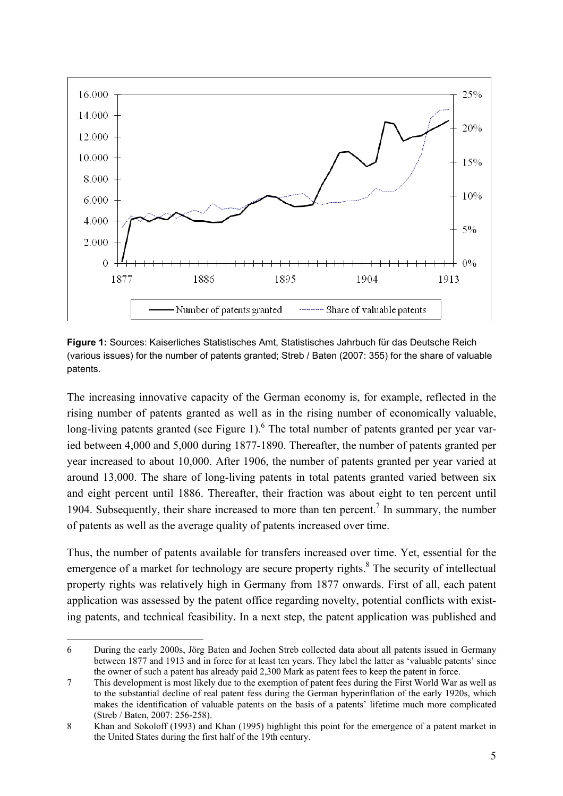

**Figure 1:** Sources: Kaiserliches Statistisches Amt, Statistisches Jahrbuch für das Deutsche Reich (various issues) for the number of patents granted; Streb / Baten (2007: 355) for the share of valuable patents.

The increasing innovative capacity of the German economy is, for example, reflected in the rising number of patents granted as well as in the rising number of economically valuable, long-living patents granted (see Figure 1). <sup>6</sup> The total number of patents granted per year varied between 4,000 and 5,000 during 1877-1890. Thereafter, the number of patents granted per year increased to about 10,000. After 1906, the number of patents granted per year varied at around 13,000. The share of long-living patents in total patents granted varied between six and eight percent until 1886. Thereafter, their fraction was about eight to ten percent until 1904. Subsequently, their share increased to more than ten percent.<sup>7</sup> In summary, the number of patents as well as the average quality of patents increased over time.

Thus, the number of patents available for transfers increased over time. Yet, essential for the emergence of a market for technology are secure property rights. $8$  The security of intellectual property rights was relatively high in Germany from 1877 onwards. First of all, each patent application was assessed by the patent office regarding novelty, potential conflicts with existing patents, and technical feasibility. In a next step, the patent application was published and

<sup>-</sup>6 During the early 2000s, Jörg Baten and Jochen Streb collected data about all patents issued in Germany between 1877 and 1913 and in force for at least ten years. They label the latter as 'valuable patents' since the owner of such a patent has already paid 2,300 Mark as patent fees to keep the patent in force.

<sup>7</sup> This development is most likely due to the exemption of patent fees during the First World War as well as to the substantial decline of real patent fess during the German hyperinflation of the early 1920s, which makes the identification of valuable patents on the basis of a patents' lifetime much more complicated (Streb / Baten, 2007: 256-258).

<sup>8</sup> Khan and Sokoloff (1993) and Khan (1995) highlight this point for the emergence of a patent market in the United States during the first half of the 19th century.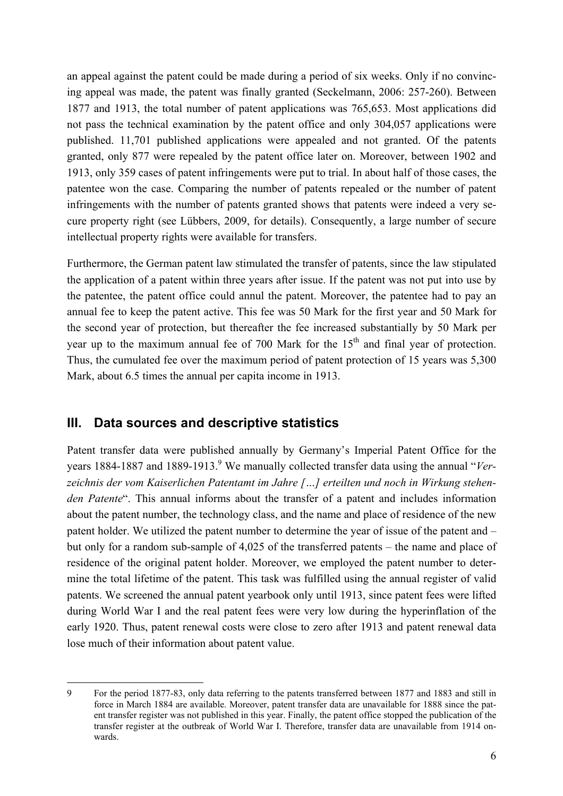an appeal against the patent could be made during a period of six weeks. Only if no convincing appeal was made, the patent was finally granted (Seckelmann, 2006: 257-260). Between 1877 and 1913, the total number of patent applications was 765,653. Most applications did not pass the technical examination by the patent office and only 304,057 applications were published. 11,701 published applications were appealed and not granted. Of the patents granted, only 877 were repealed by the patent office later on. Moreover, between 1902 and 1913, only 359 cases of patent infringements were put to trial. In about half of those cases, the patentee won the case. Comparing the number of patents repealed or the number of patent infringements with the number of patents granted shows that patents were indeed a very secure property right (see Lübbers, 2009, for details). Consequently, a large number of secure intellectual property rights were available for transfers.

Furthermore, the German patent law stimulated the transfer of patents, since the law stipulated the application of a patent within three years after issue. If the patent was not put into use by the patentee, the patent office could annul the patent. Moreover, the patentee had to pay an annual fee to keep the patent active. This fee was 50 Mark for the first year and 50 Mark for the second year of protection, but thereafter the fee increased substantially by 50 Mark per year up to the maximum annual fee of 700 Mark for the  $15<sup>th</sup>$  and final year of protection. Thus, the cumulated fee over the maximum period of patent protection of 15 years was 5,300 Mark, about 6.5 times the annual per capita income in 1913.

# **III. Data sources and descriptive statistics**

-

Patent transfer data were published annually by Germany's Imperial Patent Office for the years 1884-1887 and 1889-1913.<sup>9</sup> We manually collected transfer data using the annual "*Verzeichnis der vom Kaiserlichen Patentamt im Jahre […] erteilten und noch in Wirkung stehenden Patente*". This annual informs about the transfer of a patent and includes information about the patent number, the technology class, and the name and place of residence of the new patent holder. We utilized the patent number to determine the year of issue of the patent and – but only for a random sub-sample of 4,025 of the transferred patents – the name and place of residence of the original patent holder. Moreover, we employed the patent number to determine the total lifetime of the patent. This task was fulfilled using the annual register of valid patents. We screened the annual patent yearbook only until 1913, since patent fees were lifted during World War I and the real patent fees were very low during the hyperinflation of the early 1920. Thus, patent renewal costs were close to zero after 1913 and patent renewal data lose much of their information about patent value.

<sup>9</sup> For the period 1877-83, only data referring to the patents transferred between 1877 and 1883 and still in force in March 1884 are available. Moreover, patent transfer data are unavailable for 1888 since the patent transfer register was not published in this year. Finally, the patent office stopped the publication of the transfer register at the outbreak of World War I. Therefore, transfer data are unavailable from 1914 onwards.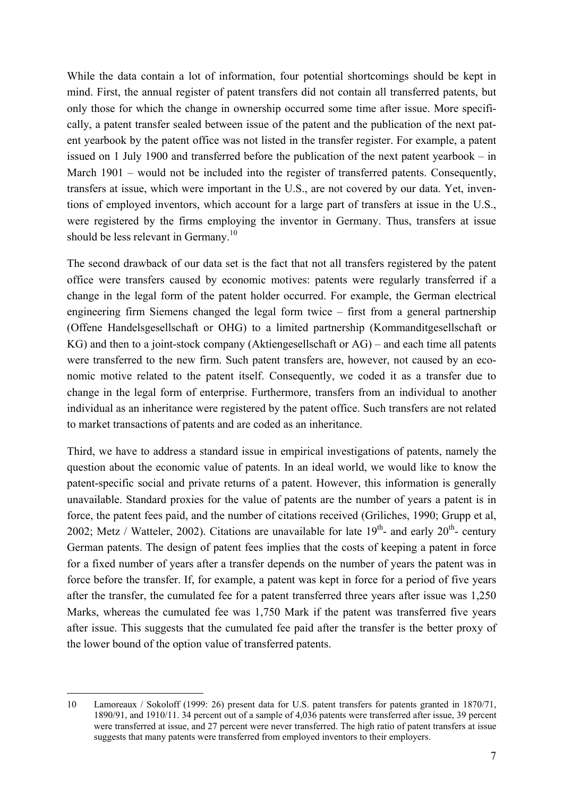While the data contain a lot of information, four potential shortcomings should be kept in mind. First, the annual register of patent transfers did not contain all transferred patents, but only those for which the change in ownership occurred some time after issue. More specifically, a patent transfer sealed between issue of the patent and the publication of the next patent yearbook by the patent office was not listed in the transfer register. For example, a patent issued on 1 July 1900 and transferred before the publication of the next patent yearbook – in March 1901 – would not be included into the register of transferred patents. Consequently, transfers at issue, which were important in the U.S., are not covered by our data. Yet, inventions of employed inventors, which account for a large part of transfers at issue in the U.S., were registered by the firms employing the inventor in Germany. Thus, transfers at issue should be less relevant in Germany.<sup>10</sup>

The second drawback of our data set is the fact that not all transfers registered by the patent office were transfers caused by economic motives: patents were regularly transferred if a change in the legal form of the patent holder occurred. For example, the German electrical engineering firm Siemens changed the legal form twice – first from a general partnership (Offene Handelsgesellschaft or OHG) to a limited partnership (Kommanditgesellschaft or KG) and then to a joint-stock company (Aktiengesellschaft or AG) – and each time all patents were transferred to the new firm. Such patent transfers are, however, not caused by an economic motive related to the patent itself. Consequently, we coded it as a transfer due to change in the legal form of enterprise. Furthermore, transfers from an individual to another individual as an inheritance were registered by the patent office. Such transfers are not related to market transactions of patents and are coded as an inheritance.

Third, we have to address a standard issue in empirical investigations of patents, namely the question about the economic value of patents. In an ideal world, we would like to know the patent-specific social and private returns of a patent. However, this information is generally unavailable. Standard proxies for the value of patents are the number of years a patent is in force, the patent fees paid, and the number of citations received (Griliches, 1990; Grupp et al, 2002; Metz / Watteler, 2002). Citations are unavailable for late  $19<sup>th</sup>$ - and early  $20<sup>th</sup>$ - century German patents. The design of patent fees implies that the costs of keeping a patent in force for a fixed number of years after a transfer depends on the number of years the patent was in force before the transfer. If, for example, a patent was kept in force for a period of five years after the transfer, the cumulated fee for a patent transferred three years after issue was 1,250 Marks, whereas the cumulated fee was 1,750 Mark if the patent was transferred five years after issue. This suggests that the cumulated fee paid after the transfer is the better proxy of the lower bound of the option value of transferred patents.

<sup>-</sup>10 Lamoreaux / Sokoloff (1999: 26) present data for U.S. patent transfers for patents granted in 1870/71, 1890/91, and 1910/11. 34 percent out of a sample of 4,036 patents were transferred after issue, 39 percent were transferred at issue, and 27 percent were never transferred. The high ratio of patent transfers at issue suggests that many patents were transferred from employed inventors to their employers.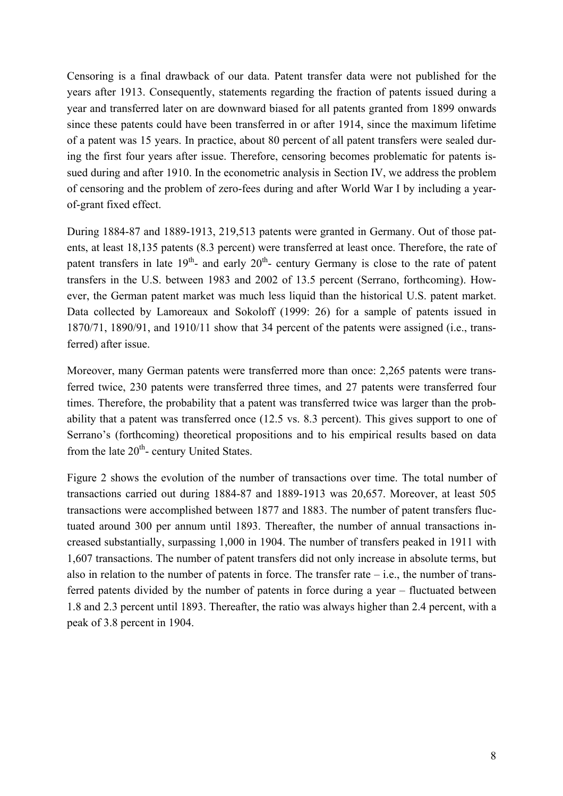Censoring is a final drawback of our data. Patent transfer data were not published for the years after 1913. Consequently, statements regarding the fraction of patents issued during a year and transferred later on are downward biased for all patents granted from 1899 onwards since these patents could have been transferred in or after 1914, since the maximum lifetime of a patent was 15 years. In practice, about 80 percent of all patent transfers were sealed during the first four years after issue. Therefore, censoring becomes problematic for patents issued during and after 1910. In the econometric analysis in Section IV, we address the problem of censoring and the problem of zero-fees during and after World War I by including a yearof-grant fixed effect.

During 1884-87 and 1889-1913, 219,513 patents were granted in Germany. Out of those patents, at least 18,135 patents (8.3 percent) were transferred at least once. Therefore, the rate of patent transfers in late  $19<sup>th</sup>$ - and early  $20<sup>th</sup>$ - century Germany is close to the rate of patent transfers in the U.S. between 1983 and 2002 of 13.5 percent (Serrano, forthcoming). However, the German patent market was much less liquid than the historical U.S. patent market. Data collected by Lamoreaux and Sokoloff (1999: 26) for a sample of patents issued in 1870/71, 1890/91, and 1910/11 show that 34 percent of the patents were assigned (i.e., transferred) after issue.

Moreover, many German patents were transferred more than once: 2,265 patents were transferred twice, 230 patents were transferred three times, and 27 patents were transferred four times. Therefore, the probability that a patent was transferred twice was larger than the probability that a patent was transferred once (12.5 vs. 8.3 percent). This gives support to one of Serrano's (forthcoming) theoretical propositions and to his empirical results based on data from the late  $20<sup>th</sup>$ - century United States.

Figure 2 shows the evolution of the number of transactions over time. The total number of transactions carried out during 1884-87 and 1889-1913 was 20,657. Moreover, at least 505 transactions were accomplished between 1877 and 1883. The number of patent transfers fluctuated around 300 per annum until 1893. Thereafter, the number of annual transactions increased substantially, surpassing 1,000 in 1904. The number of transfers peaked in 1911 with 1,607 transactions. The number of patent transfers did not only increase in absolute terms, but also in relation to the number of patents in force. The transfer rate  $-$  i.e., the number of transferred patents divided by the number of patents in force during a year – fluctuated between 1.8 and 2.3 percent until 1893. Thereafter, the ratio was always higher than 2.4 percent, with a peak of 3.8 percent in 1904.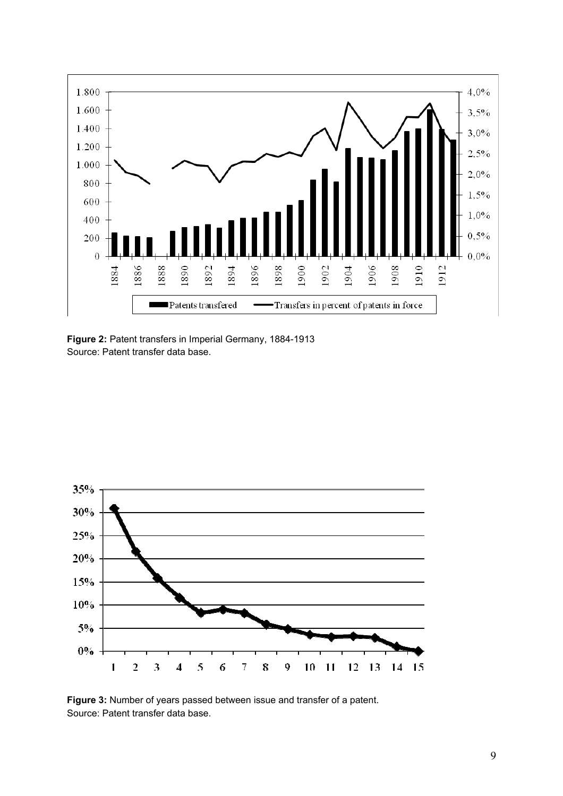

**Figure 2:** Patent transfers in Imperial Germany, 1884-1913 Source: Patent transfer data base.



**Figure 3:** Number of years passed between issue and transfer of a patent. Source: Patent transfer data base.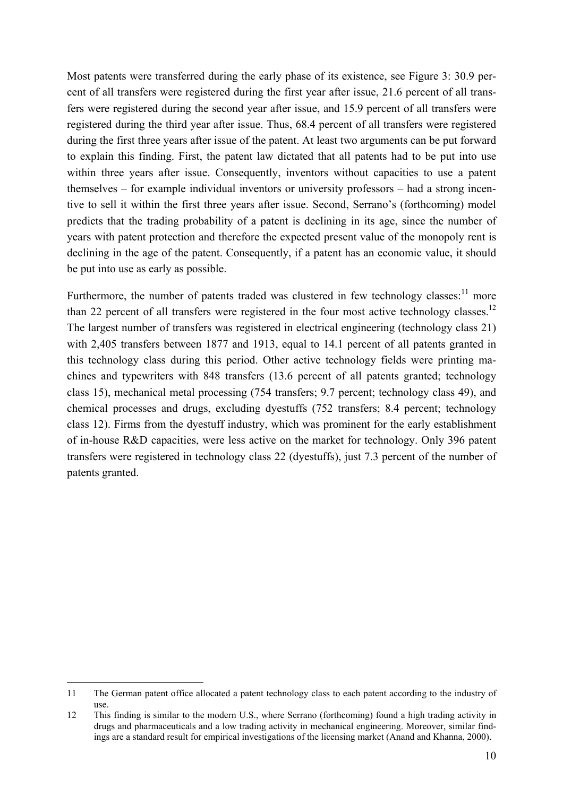Most patents were transferred during the early phase of its existence, see Figure 3: 30.9 percent of all transfers were registered during the first year after issue, 21.6 percent of all transfers were registered during the second year after issue, and 15.9 percent of all transfers were registered during the third year after issue. Thus, 68.4 percent of all transfers were registered during the first three years after issue of the patent. At least two arguments can be put forward to explain this finding. First, the patent law dictated that all patents had to be put into use within three years after issue. Consequently, inventors without capacities to use a patent themselves – for example individual inventors or university professors – had a strong incentive to sell it within the first three years after issue. Second, Serrano's (forthcoming) model predicts that the trading probability of a patent is declining in its age, since the number of years with patent protection and therefore the expected present value of the monopoly rent is declining in the age of the patent. Consequently, if a patent has an economic value, it should be put into use as early as possible.

Furthermore, the number of patents traded was clustered in few technology classes: $11$  more than 22 percent of all transfers were registered in the four most active technology classes.<sup>12</sup> The largest number of transfers was registered in electrical engineering (technology class 21) with 2,405 transfers between 1877 and 1913, equal to 14.1 percent of all patents granted in this technology class during this period. Other active technology fields were printing machines and typewriters with 848 transfers (13.6 percent of all patents granted; technology class 15), mechanical metal processing (754 transfers; 9.7 percent; technology class 49), and chemical processes and drugs, excluding dyestuffs (752 transfers; 8.4 percent; technology class 12). Firms from the dyestuff industry, which was prominent for the early establishment of in-house R&D capacities, were less active on the market for technology. Only 396 patent transfers were registered in technology class 22 (dyestuffs), just 7.3 percent of the number of patents granted.

-

<sup>11</sup> The German patent office allocated a patent technology class to each patent according to the industry of use.

<sup>12</sup> This finding is similar to the modern U.S., where Serrano (forthcoming) found a high trading activity in drugs and pharmaceuticals and a low trading activity in mechanical engineering. Moreover, similar findings are a standard result for empirical investigations of the licensing market (Anand and Khanna, 2000).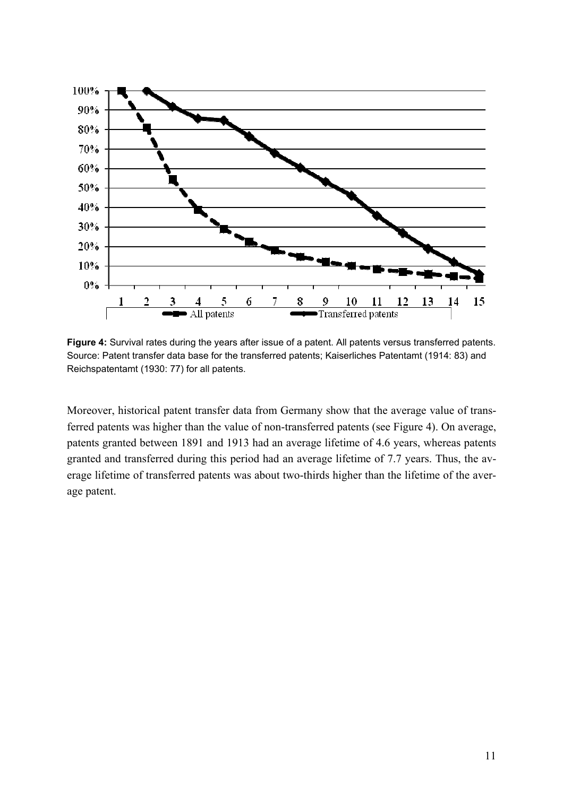

**Figure 4:** Survival rates during the years after issue of a patent. All patents versus transferred patents. Source: Patent transfer data base for the transferred patents; Kaiserliches Patentamt (1914: 83) and Reichspatentamt (1930: 77) for all patents.

Moreover, historical patent transfer data from Germany show that the average value of transferred patents was higher than the value of non-transferred patents (see Figure 4). On average, patents granted between 1891 and 1913 had an average lifetime of 4.6 years, whereas patents granted and transferred during this period had an average lifetime of 7.7 years. Thus, the average lifetime of transferred patents was about two-thirds higher than the lifetime of the average patent.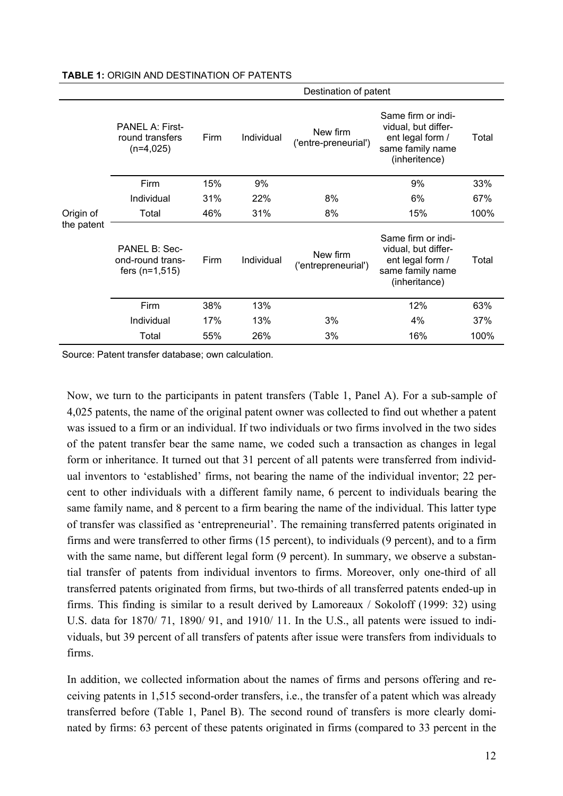|            |                                                              | Destination of patent |            |                                  |                                                                                                    |       |
|------------|--------------------------------------------------------------|-----------------------|------------|----------------------------------|----------------------------------------------------------------------------------------------------|-------|
|            | <b>PANEL A: First-</b><br>round transfers<br>$(n=4,025)$     | Firm                  | Individual | New firm<br>('entre-preneurial') | Same firm or indi-<br>vidual, but differ-<br>ent legal form /<br>same family name<br>(inheritence) | Total |
|            | Firm                                                         | 15%                   | 9%         |                                  | 9%                                                                                                 | 33%   |
|            | Individual                                                   | 31%                   | 22%        | 8%                               | 6%                                                                                                 | 67%   |
| Origin of  | Total                                                        | 46%                   | 31%        | 8%                               | 15%                                                                                                | 100%  |
| the patent | <b>PANEL B: Sec-</b><br>ond-round trans-<br>fers $(n=1,515)$ | Firm                  | Individual | New firm<br>('entrepreneurial')  | Same firm or indi-<br>vidual, but differ-<br>ent legal form /<br>same family name<br>(inheritance) | Total |
|            | Firm                                                         | 38%                   | 13%        |                                  | 12%                                                                                                | 63%   |
|            | Individual                                                   | 17%                   | 13%        | 3%                               | 4%                                                                                                 | 37%   |
|            | Total                                                        | 55%                   | 26%        | 3%                               | 16%                                                                                                | 100%  |

#### **TABLE 1:** ORIGIN AND DESTINATION OF PATENTS

Source: Patent transfer database; own calculation.

Now, we turn to the participants in patent transfers (Table 1, Panel A). For a sub-sample of 4,025 patents, the name of the original patent owner was collected to find out whether a patent was issued to a firm or an individual. If two individuals or two firms involved in the two sides of the patent transfer bear the same name, we coded such a transaction as changes in legal form or inheritance. It turned out that 31 percent of all patents were transferred from individual inventors to 'established' firms, not bearing the name of the individual inventor; 22 percent to other individuals with a different family name, 6 percent to individuals bearing the same family name, and 8 percent to a firm bearing the name of the individual. This latter type of transfer was classified as 'entrepreneurial'. The remaining transferred patents originated in firms and were transferred to other firms (15 percent), to individuals (9 percent), and to a firm with the same name, but different legal form  $(9$  percent). In summary, we observe a substantial transfer of patents from individual inventors to firms. Moreover, only one-third of all transferred patents originated from firms, but two-thirds of all transferred patents ended-up in firms. This finding is similar to a result derived by Lamoreaux / Sokoloff (1999: 32) using U.S. data for 1870/ 71, 1890/ 91, and 1910/ 11. In the U.S., all patents were issued to individuals, but 39 percent of all transfers of patents after issue were transfers from individuals to firms.

In addition, we collected information about the names of firms and persons offering and receiving patents in 1,515 second-order transfers, i.e., the transfer of a patent which was already transferred before (Table 1, Panel B). The second round of transfers is more clearly dominated by firms: 63 percent of these patents originated in firms (compared to 33 percent in the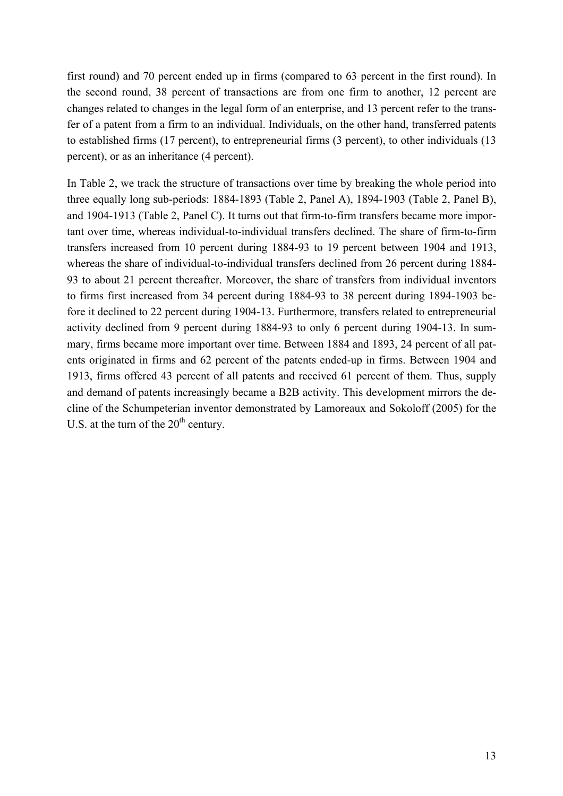first round) and 70 percent ended up in firms (compared to 63 percent in the first round). In the second round, 38 percent of transactions are from one firm to another, 12 percent are changes related to changes in the legal form of an enterprise, and 13 percent refer to the transfer of a patent from a firm to an individual. Individuals, on the other hand, transferred patents to established firms (17 percent), to entrepreneurial firms (3 percent), to other individuals (13 percent), or as an inheritance (4 percent).

In Table 2, we track the structure of transactions over time by breaking the whole period into three equally long sub-periods: 1884-1893 (Table 2, Panel A), 1894-1903 (Table 2, Panel B), and 1904-1913 (Table 2, Panel C). It turns out that firm-to-firm transfers became more important over time, whereas individual-to-individual transfers declined. The share of firm-to-firm transfers increased from 10 percent during 1884-93 to 19 percent between 1904 and 1913, whereas the share of individual-to-individual transfers declined from 26 percent during 1884- 93 to about 21 percent thereafter. Moreover, the share of transfers from individual inventors to firms first increased from 34 percent during 1884-93 to 38 percent during 1894-1903 before it declined to 22 percent during 1904-13. Furthermore, transfers related to entrepreneurial activity declined from 9 percent during 1884-93 to only 6 percent during 1904-13. In summary, firms became more important over time. Between 1884 and 1893, 24 percent of all patents originated in firms and 62 percent of the patents ended-up in firms. Between 1904 and 1913, firms offered 43 percent of all patents and received 61 percent of them. Thus, supply and demand of patents increasingly became a B2B activity. This development mirrors the decline of the Schumpeterian inventor demonstrated by Lamoreaux and Sokoloff (2005) for the U.S. at the turn of the  $20<sup>th</sup>$  century.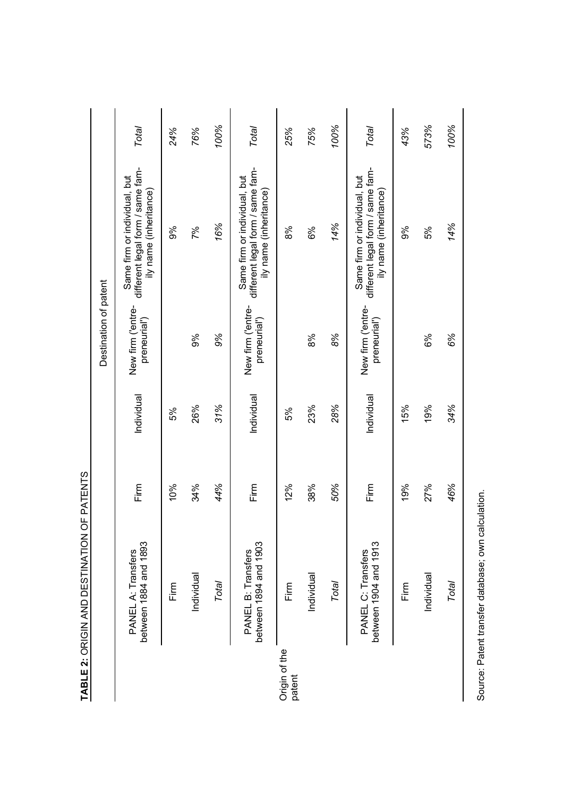|                         | TABLE 2: ORIGIN AND DESTINATION             | OF PATENTS |            |                                   |                                                                                            |       |
|-------------------------|---------------------------------------------|------------|------------|-----------------------------------|--------------------------------------------------------------------------------------------|-------|
|                         |                                             |            |            | Destination of patent             |                                                                                            |       |
|                         | between 1884 and 1893<br>PANEL A: Transfers | Firm       | Individual | New firm ('entre-<br>preneurial') | different legal form / same fam-<br>Same firm or individual, but<br>ily name (inheritance) | Total |
|                         | Firm                                        | 10%        | 5%         |                                   | 9%                                                                                         | 24%   |
|                         | Individual                                  | 34%        | 26%        | 9%                                | 7%                                                                                         | 76%   |
|                         | Total                                       | 44%        | 31%        | 9%                                | 16%                                                                                        | 100%  |
|                         | between 1894 and 1903<br>PANEL B: Transfers | Firm       | Individual | New firm ('entre-<br>preneurial') | different legal form / same fam-<br>Same firm or individual, but<br>ily name (inheritance) | Total |
| Origin of the<br>patent | Firm                                        | 12%        | 5%         |                                   | 8%                                                                                         | 25%   |
|                         | Individual                                  | 38%        | 23%        | 8%                                | 6%                                                                                         | 75%   |
|                         | Total                                       | 50%        | 28%        | 8%                                | 14%                                                                                        | 100%  |
|                         | between 1904 and 1913<br>PANEL C: Transfers | Firm       | Individual | New firm ('entre-<br>preneurial') | different legal form / same fam-<br>Same firm or individual, but<br>ily name (inheritance) | Total |
|                         | Firm                                        | 19%        | 15%        |                                   | 9%                                                                                         | 43%   |
|                         | Individual                                  | 27%        | 19%        | 6%                                | 5%                                                                                         | 573%  |
|                         | Total                                       | 46%        | 34%        | 6%                                | 14%                                                                                        | 100%  |
|                         |                                             |            |            |                                   |                                                                                            |       |

Source: Patent transfer database; own calculation. Source: Patent transfer database; own calculation.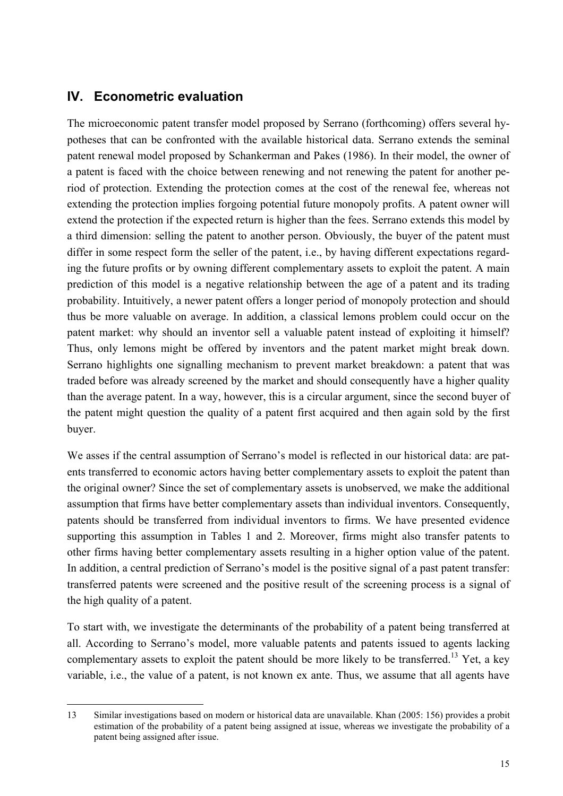# **IV. Econometric evaluation**

The microeconomic patent transfer model proposed by Serrano (forthcoming) offers several hypotheses that can be confronted with the available historical data. Serrano extends the seminal patent renewal model proposed by Schankerman and Pakes (1986). In their model, the owner of a patent is faced with the choice between renewing and not renewing the patent for another period of protection. Extending the protection comes at the cost of the renewal fee, whereas not extending the protection implies forgoing potential future monopoly profits. A patent owner will extend the protection if the expected return is higher than the fees. Serrano extends this model by a third dimension: selling the patent to another person. Obviously, the buyer of the patent must differ in some respect form the seller of the patent, i.e., by having different expectations regarding the future profits or by owning different complementary assets to exploit the patent. A main prediction of this model is a negative relationship between the age of a patent and its trading probability. Intuitively, a newer patent offers a longer period of monopoly protection and should thus be more valuable on average. In addition, a classical lemons problem could occur on the patent market: why should an inventor sell a valuable patent instead of exploiting it himself? Thus, only lemons might be offered by inventors and the patent market might break down. Serrano highlights one signalling mechanism to prevent market breakdown: a patent that was traded before was already screened by the market and should consequently have a higher quality than the average patent. In a way, however, this is a circular argument, since the second buyer of the patent might question the quality of a patent first acquired and then again sold by the first buyer.

We asses if the central assumption of Serrano's model is reflected in our historical data: are patents transferred to economic actors having better complementary assets to exploit the patent than the original owner? Since the set of complementary assets is unobserved, we make the additional assumption that firms have better complementary assets than individual inventors. Consequently, patents should be transferred from individual inventors to firms. We have presented evidence supporting this assumption in Tables 1 and 2. Moreover, firms might also transfer patents to other firms having better complementary assets resulting in a higher option value of the patent. In addition, a central prediction of Serrano's model is the positive signal of a past patent transfer: transferred patents were screened and the positive result of the screening process is a signal of the high quality of a patent.

To start with, we investigate the determinants of the probability of a patent being transferred at all. According to Serrano's model, more valuable patents and patents issued to agents lacking complementary assets to exploit the patent should be more likely to be transferred.<sup>13</sup> Yet, a key variable, i.e., the value of a patent, is not known ex ante. Thus, we assume that all agents have

<sup>-</sup>13 Similar investigations based on modern or historical data are unavailable. Khan (2005: 156) provides a probit estimation of the probability of a patent being assigned at issue, whereas we investigate the probability of a patent being assigned after issue.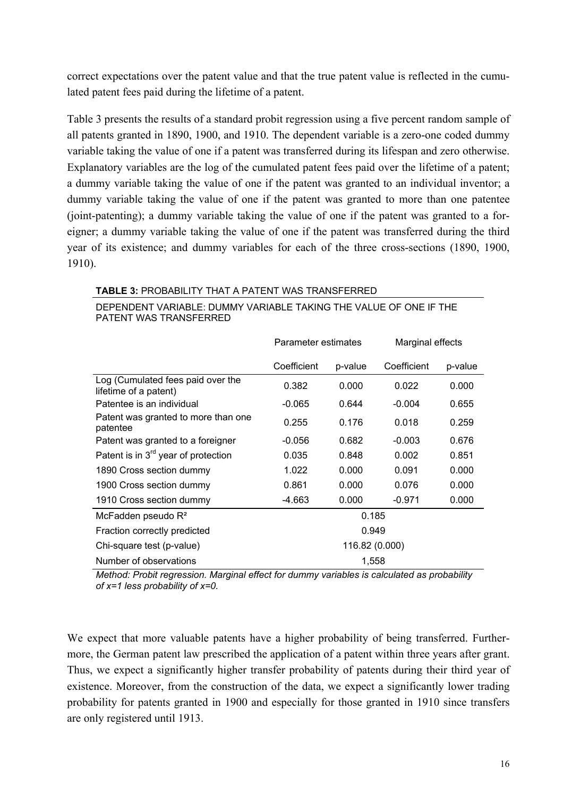correct expectations over the patent value and that the true patent value is reflected in the cumulated patent fees paid during the lifetime of a patent.

Table 3 presents the results of a standard probit regression using a five percent random sample of all patents granted in 1890, 1900, and 1910. The dependent variable is a zero-one coded dummy variable taking the value of one if a patent was transferred during its lifespan and zero otherwise. Explanatory variables are the log of the cumulated patent fees paid over the lifetime of a patent; a dummy variable taking the value of one if the patent was granted to an individual inventor; a dummy variable taking the value of one if the patent was granted to more than one patentee (joint-patenting); a dummy variable taking the value of one if the patent was granted to a foreigner; a dummy variable taking the value of one if the patent was transferred during the third year of its existence; and dummy variables for each of the three cross-sections (1890, 1900, 1910).

### **TABLE 3:** PROBABILITY THAT A PATENT WAS TRANSFERRED

|                                                            | Parameter estimates |                | Marginal effects |         |
|------------------------------------------------------------|---------------------|----------------|------------------|---------|
|                                                            | Coefficient         | p-value        | Coefficient      | p-value |
| Log (Cumulated fees paid over the<br>lifetime of a patent) | 0.382               | 0.000          | 0.022            | 0.000   |
| Patentee is an individual                                  | $-0.065$            | 0.644          | $-0.004$         | 0.655   |
| Patent was granted to more than one<br>patentee            | 0.255               | 0.176          | 0.018            | 0.259   |
| Patent was granted to a foreigner                          | -0.056              | 0.682          | $-0.003$         | 0.676   |
| Patent is in 3 <sup>rd</sup> year of protection            | 0.035               | 0.848          | 0.002            | 0.851   |
| 1890 Cross section dummy                                   | 1.022               | 0.000          | 0.091            | 0.000   |
| 1900 Cross section dummy                                   | 0.861               | 0.000          | 0.076            | 0.000   |
| 1910 Cross section dummy                                   | -4.663              | 0.000          | $-0.971$         | 0.000   |
| McFadden pseudo R <sup>2</sup>                             |                     | 0.185          |                  |         |
| Fraction correctly predicted                               |                     | 0.949          |                  |         |
| Chi-square test (p-value)                                  |                     | 116.82 (0.000) |                  |         |
| Number of observations                                     |                     | 1,558          |                  |         |

DEPENDENT VARIABLE: DUMMY VARIABLE TAKING THE VALUE OF ONE IF THE PATENT WAS TRANSFERRED

*Method: Probit regression. Marginal effect for dummy variables is calculated as probability of x=1 less probability of x=0.* 

We expect that more valuable patents have a higher probability of being transferred. Furthermore, the German patent law prescribed the application of a patent within three years after grant. Thus, we expect a significantly higher transfer probability of patents during their third year of existence. Moreover, from the construction of the data, we expect a significantly lower trading probability for patents granted in 1900 and especially for those granted in 1910 since transfers are only registered until 1913.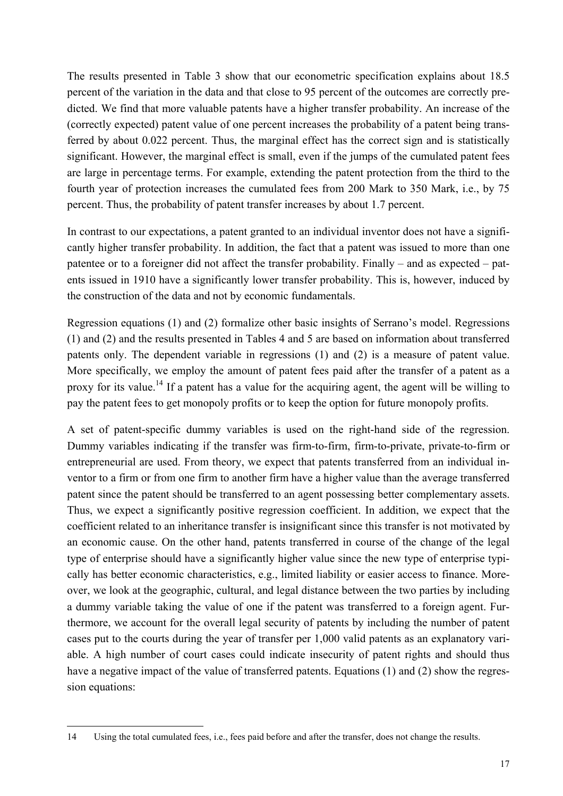The results presented in Table 3 show that our econometric specification explains about 18.5 percent of the variation in the data and that close to 95 percent of the outcomes are correctly predicted. We find that more valuable patents have a higher transfer probability. An increase of the (correctly expected) patent value of one percent increases the probability of a patent being transferred by about 0.022 percent. Thus, the marginal effect has the correct sign and is statistically significant. However, the marginal effect is small, even if the jumps of the cumulated patent fees are large in percentage terms. For example, extending the patent protection from the third to the fourth year of protection increases the cumulated fees from 200 Mark to 350 Mark, i.e., by 75 percent. Thus, the probability of patent transfer increases by about 1.7 percent.

In contrast to our expectations, a patent granted to an individual inventor does not have a significantly higher transfer probability. In addition, the fact that a patent was issued to more than one patentee or to a foreigner did not affect the transfer probability. Finally – and as expected – patents issued in 1910 have a significantly lower transfer probability. This is, however, induced by the construction of the data and not by economic fundamentals.

Regression equations (1) and (2) formalize other basic insights of Serrano's model. Regressions (1) and (2) and the results presented in Tables 4 and 5 are based on information about transferred patents only. The dependent variable in regressions (1) and (2) is a measure of patent value. More specifically, we employ the amount of patent fees paid after the transfer of a patent as a proxy for its value.<sup>14</sup> If a patent has a value for the acquiring agent, the agent will be willing to pay the patent fees to get monopoly profits or to keep the option for future monopoly profits.

A set of patent-specific dummy variables is used on the right-hand side of the regression. Dummy variables indicating if the transfer was firm-to-firm, firm-to-private, private-to-firm or entrepreneurial are used. From theory, we expect that patents transferred from an individual inventor to a firm or from one firm to another firm have a higher value than the average transferred patent since the patent should be transferred to an agent possessing better complementary assets. Thus, we expect a significantly positive regression coefficient. In addition, we expect that the coefficient related to an inheritance transfer is insignificant since this transfer is not motivated by an economic cause. On the other hand, patents transferred in course of the change of the legal type of enterprise should have a significantly higher value since the new type of enterprise typically has better economic characteristics, e.g., limited liability or easier access to finance. Moreover, we look at the geographic, cultural, and legal distance between the two parties by including a dummy variable taking the value of one if the patent was transferred to a foreign agent. Furthermore, we account for the overall legal security of patents by including the number of patent cases put to the courts during the year of transfer per 1,000 valid patents as an explanatory variable. A high number of court cases could indicate insecurity of patent rights and should thus have a negative impact of the value of transferred patents. Equations (1) and (2) show the regression equations:

j

<sup>14</sup> Using the total cumulated fees, i.e., fees paid before and after the transfer, does not change the results.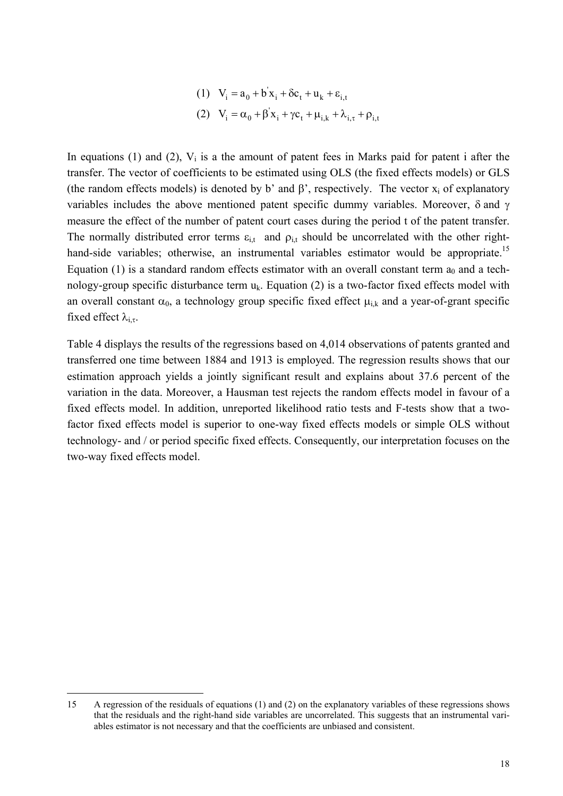(1) 
$$
V_i = a_0 + b'x_i + \delta c_t + u_k + \varepsilon_{i,t}
$$
  
\n(2)  $V_i = \alpha_0 + \beta' x_i + \gamma c_t + \mu_{i,k} + \lambda_{i,\tau} + \rho_{i,t}$ 

In equations (1) and (2),  $V_i$  is a the amount of patent fees in Marks paid for patent i after the transfer. The vector of coefficients to be estimated using OLS (the fixed effects models) or GLS (the random effects models) is denoted by b' and  $\beta'$ , respectively. The vector  $x_i$  of explanatory variables includes the above mentioned patent specific dummy variables. Moreover, δ and γ measure the effect of the number of patent court cases during the period t of the patent transfer. The normally distributed error terms  $\varepsilon_{i,t}$  and  $\rho_{i,t}$  should be uncorrelated with the other righthand-side variables; otherwise, an instrumental variables estimator would be appropriate.<sup>15</sup> Equation (1) is a standard random effects estimator with an overall constant term  $a_0$  and a technology-group specific disturbance term  $u_k$ . Equation (2) is a two-factor fixed effects model with an overall constant  $\alpha_0$ , a technology group specific fixed effect  $\mu_{i,k}$  and a year-of-grant specific fixed effect  $\lambda_{i,\tau}$ .

Table 4 displays the results of the regressions based on 4,014 observations of patents granted and transferred one time between 1884 and 1913 is employed. The regression results shows that our estimation approach yields a jointly significant result and explains about 37.6 percent of the variation in the data. Moreover, a Hausman test rejects the random effects model in favour of a fixed effects model. In addition, unreported likelihood ratio tests and F-tests show that a twofactor fixed effects model is superior to one-way fixed effects models or simple OLS without technology- and / or period specific fixed effects. Consequently, our interpretation focuses on the two-way fixed effects model.

j

<sup>15</sup> A regression of the residuals of equations (1) and (2) on the explanatory variables of these regressions shows that the residuals and the right-hand side variables are uncorrelated. This suggests that an instrumental variables estimator is not necessary and that the coefficients are unbiased and consistent.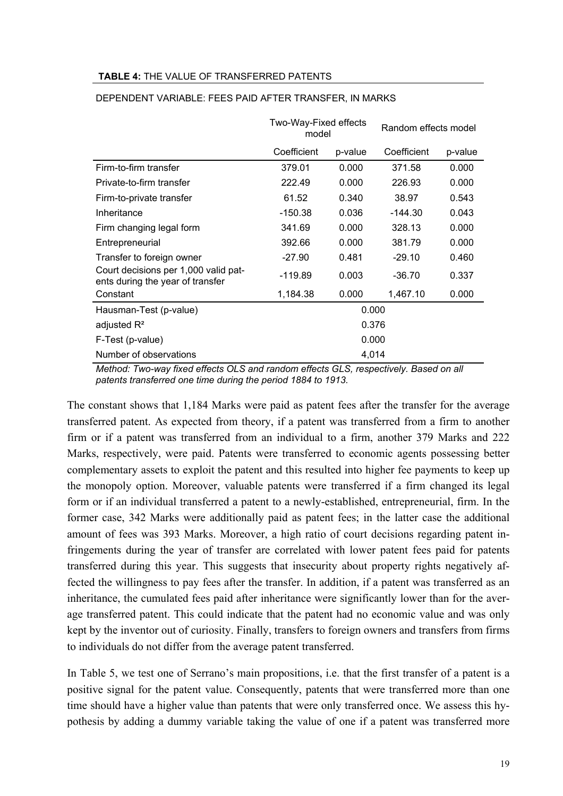#### **TABLE 4:** THE VALUE OF TRANSFERRED PATENTS

|                                                                          | Two-Way-Fixed effects<br>model |         | Random effects model |         |
|--------------------------------------------------------------------------|--------------------------------|---------|----------------------|---------|
|                                                                          | Coefficient                    | p-value | Coefficient          | p-value |
| Firm-to-firm transfer                                                    | 379.01                         | 0.000   | 371.58               | 0.000   |
| Private-to-firm transfer                                                 | 222.49                         | 0.000   | 226.93               | 0.000   |
| Firm-to-private transfer                                                 | 61.52                          | 0.340   | 38.97                | 0.543   |
| Inheritance                                                              | $-150.38$                      | 0.036   | $-144.30$            | 0.043   |
| Firm changing legal form                                                 | 341.69                         | 0.000   | 328.13               | 0.000   |
| Entrepreneurial                                                          | 392.66                         | 0.000   | 381.79               | 0.000   |
| Transfer to foreign owner                                                | $-27.90$                       | 0.481   | $-29.10$             | 0.460   |
| Court decisions per 1,000 valid pat-<br>ents during the year of transfer | $-119.89$                      | 0.003   | $-36.70$             | 0.337   |
| Constant                                                                 | 1,184.38                       | 0.000   | 1,467.10             | 0.000   |
| Hausman-Test (p-value)                                                   |                                | 0.000   |                      |         |
| adjusted $R^2$                                                           |                                | 0.376   |                      |         |
| F-Test (p-value)                                                         |                                | 0.000   |                      |         |
| Number of observations                                                   |                                | 4,014   |                      |         |

#### DEPENDENT VARIABLE: FEES PAID AFTER TRANSFER, IN MARKS

*Method: Two-way fixed effects OLS and random effects GLS, respectively. Based on all patents transferred one time during the period 1884 to 1913.* 

The constant shows that 1,184 Marks were paid as patent fees after the transfer for the average transferred patent. As expected from theory, if a patent was transferred from a firm to another firm or if a patent was transferred from an individual to a firm, another 379 Marks and 222 Marks, respectively, were paid. Patents were transferred to economic agents possessing better complementary assets to exploit the patent and this resulted into higher fee payments to keep up the monopoly option. Moreover, valuable patents were transferred if a firm changed its legal form or if an individual transferred a patent to a newly-established, entrepreneurial, firm. In the former case, 342 Marks were additionally paid as patent fees; in the latter case the additional amount of fees was 393 Marks. Moreover, a high ratio of court decisions regarding patent infringements during the year of transfer are correlated with lower patent fees paid for patents transferred during this year. This suggests that insecurity about property rights negatively affected the willingness to pay fees after the transfer. In addition, if a patent was transferred as an inheritance, the cumulated fees paid after inheritance were significantly lower than for the average transferred patent. This could indicate that the patent had no economic value and was only kept by the inventor out of curiosity. Finally, transfers to foreign owners and transfers from firms to individuals do not differ from the average patent transferred.

In Table 5, we test one of Serrano's main propositions, i.e. that the first transfer of a patent is a positive signal for the patent value. Consequently, patents that were transferred more than one time should have a higher value than patents that were only transferred once. We assess this hypothesis by adding a dummy variable taking the value of one if a patent was transferred more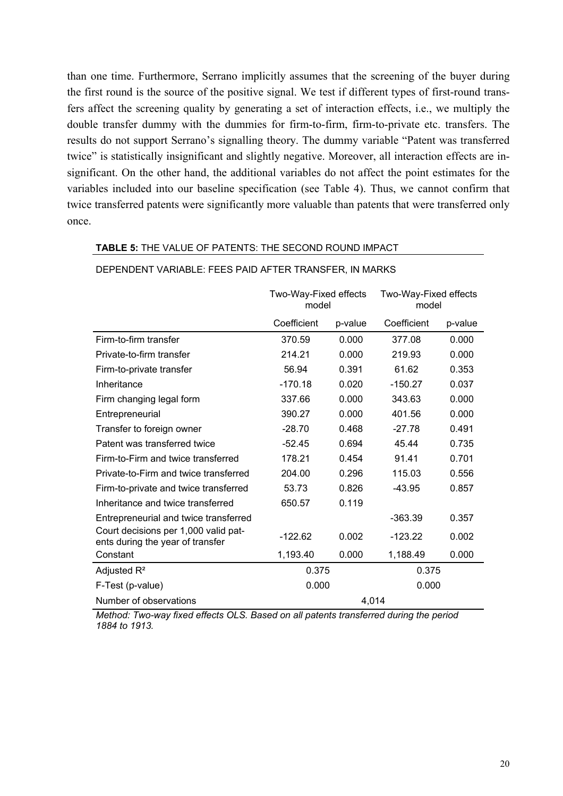than one time. Furthermore, Serrano implicitly assumes that the screening of the buyer during the first round is the source of the positive signal. We test if different types of first-round transfers affect the screening quality by generating a set of interaction effects, i.e., we multiply the double transfer dummy with the dummies for firm-to-firm, firm-to-private etc. transfers. The results do not support Serrano's signalling theory. The dummy variable "Patent was transferred twice" is statistically insignificant and slightly negative. Moreover, all interaction effects are insignificant. On the other hand, the additional variables do not affect the point estimates for the variables included into our baseline specification (see Table 4). Thus, we cannot confirm that twice transferred patents were significantly more valuable than patents that were transferred only once.

#### **TABLE 5:** THE VALUE OF PATENTS: THE SECOND ROUND IMPACT

|                                                                          | Two-Way-Fixed effects<br>model |         | Two-Way-Fixed effects<br>model |         |
|--------------------------------------------------------------------------|--------------------------------|---------|--------------------------------|---------|
|                                                                          | Coefficient                    | p-value | Coefficient                    | p-value |
| Firm-to-firm transfer                                                    | 370.59                         | 0.000   | 377.08                         | 0.000   |
| Private-to-firm transfer                                                 | 214.21                         | 0.000   | 219.93                         | 0.000   |
| Firm-to-private transfer                                                 | 56.94                          | 0.391   | 61.62                          | 0.353   |
| Inheritance                                                              | $-170.18$                      | 0.020   | $-150.27$                      | 0.037   |
| Firm changing legal form                                                 | 337.66                         | 0.000   | 343.63                         | 0.000   |
| Entrepreneurial                                                          | 390.27                         | 0.000   | 401.56                         | 0.000   |
| Transfer to foreign owner                                                | $-28.70$                       | 0.468   | $-27.78$                       | 0.491   |
| Patent was transferred twice                                             | $-52.45$                       | 0.694   | 45.44                          | 0.735   |
| Firm-to-Firm and twice transferred                                       | 178.21                         | 0.454   | 91.41                          | 0.701   |
| Private-to-Firm and twice transferred                                    | 204.00                         | 0.296   | 115.03                         | 0.556   |
| Firm-to-private and twice transferred                                    | 53.73                          | 0.826   | $-43.95$                       | 0.857   |
| Inheritance and twice transferred                                        | 650.57                         | 0.119   |                                |         |
| Entrepreneurial and twice transferred                                    |                                |         | $-363.39$                      | 0.357   |
| Court decisions per 1,000 valid pat-<br>ents during the year of transfer | -122.62                        | 0.002   | $-123.22$                      | 0.002   |
| Constant                                                                 | 1,193.40                       | 0.000   | 1,188.49                       | 0.000   |
| Adjusted $R^2$                                                           | 0.375                          |         | 0.375                          |         |
| F-Test (p-value)                                                         | 0.000                          |         | 0.000                          |         |
| Number of observations                                                   |                                | 4,014   |                                |         |

### DEPENDENT VARIABLE: FEES PAID AFTER TRANSFER, IN MARKS

*Method: Two-way fixed effects OLS. Based on all patents transferred during the period 1884 to 1913.*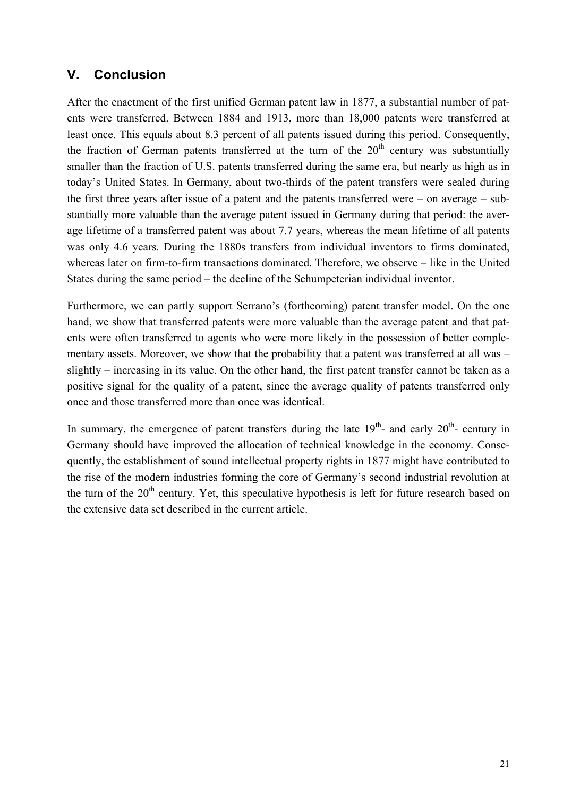# **V. Conclusion**

After the enactment of the first unified German patent law in 1877, a substantial number of patents were transferred. Between 1884 and 1913, more than 18,000 patents were transferred at least once. This equals about 8.3 percent of all patents issued during this period. Consequently, the fraction of German patents transferred at the turn of the  $20<sup>th</sup>$  century was substantially smaller than the fraction of U.S. patents transferred during the same era, but nearly as high as in today's United States. In Germany, about two-thirds of the patent transfers were sealed during the first three years after issue of a patent and the patents transferred were – on average – substantially more valuable than the average patent issued in Germany during that period: the average lifetime of a transferred patent was about 7.7 years, whereas the mean lifetime of all patents was only 4.6 years. During the 1880s transfers from individual inventors to firms dominated, whereas later on firm-to-firm transactions dominated. Therefore, we observe – like in the United States during the same period – the decline of the Schumpeterian individual inventor.

Furthermore, we can partly support Serrano's (forthcoming) patent transfer model. On the one hand, we show that transferred patents were more valuable than the average patent and that patents were often transferred to agents who were more likely in the possession of better complementary assets. Moreover, we show that the probability that a patent was transferred at all was – slightly – increasing in its value. On the other hand, the first patent transfer cannot be taken as a positive signal for the quality of a patent, since the average quality of patents transferred only once and those transferred more than once was identical.

In summary, the emergence of patent transfers during the late  $19<sup>th</sup>$ - and early  $20<sup>th</sup>$ - century in Germany should have improved the allocation of technical knowledge in the economy. Consequently, the establishment of sound intellectual property rights in 1877 might have contributed to the rise of the modern industries forming the core of Germany's second industrial revolution at the turn of the  $20<sup>th</sup>$  century. Yet, this speculative hypothesis is left for future research based on the extensive data set described in the current article.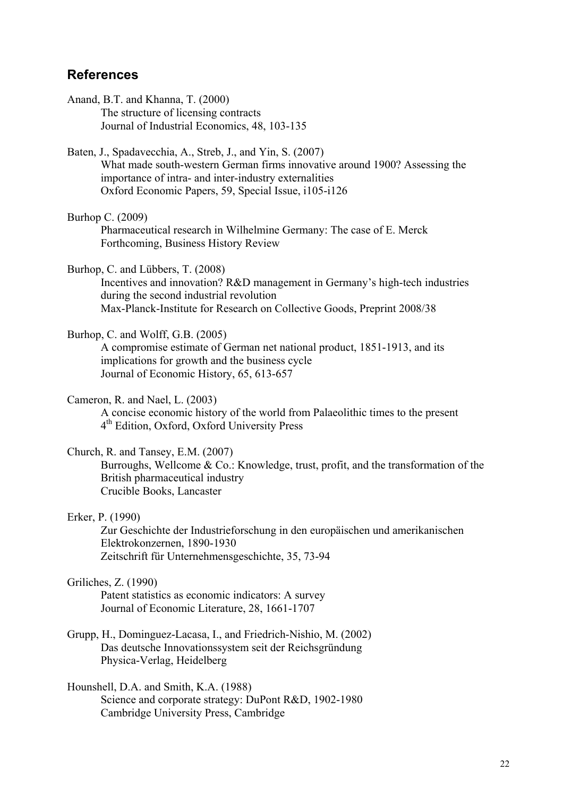# **References**

Anand, B.T. and Khanna, T. (2000) The structure of licensing contracts Journal of Industrial Economics, 48, 103-135

Baten, J., Spadavecchia, A., Streb, J., and Yin, S. (2007)

 What made south-western German firms innovative around 1900? Assessing the importance of intra- and inter-industry externalities Oxford Economic Papers, 59, Special Issue, i105-i126

Burhop C. (2009)

 Pharmaceutical research in Wilhelmine Germany: The case of E. Merck Forthcoming, Business History Review

Burhop, C. and Lübbers, T. (2008)

 Incentives and innovation? R&D management in Germany's high-tech industries during the second industrial revolution Max-Planck-Institute for Research on Collective Goods, Preprint 2008/38

#### Burhop, C. and Wolff, G.B. (2005)

 A compromise estimate of German net national product, 1851-1913, and its implications for growth and the business cycle Journal of Economic History, 65, 613-657

# Cameron, R. and Nael, L. (2003)

 A concise economic history of the world from Palaeolithic times to the present 4th Edition, Oxford, Oxford University Press

# Church, R. and Tansey, E.M. (2007)

 Burroughs, Wellcome & Co.: Knowledge, trust, profit, and the transformation of the British pharmaceutical industry Crucible Books, Lancaster

### Erker, P. (1990)

 Zur Geschichte der Industrieforschung in den europäischen und amerikanischen Elektrokonzernen, 1890-1930 Zeitschrift für Unternehmensgeschichte, 35, 73-94

### Griliches, Z. (1990)

 Patent statistics as economic indicators: A survey Journal of Economic Literature, 28, 1661-1707

- Grupp, H., Dominguez-Lacasa, I., and Friedrich-Nishio, M. (2002) Das deutsche Innovationssystem seit der Reichsgründung Physica-Verlag, Heidelberg
- Hounshell, D.A. and Smith, K.A. (1988) Science and corporate strategy: DuPont R&D, 1902-1980 Cambridge University Press, Cambridge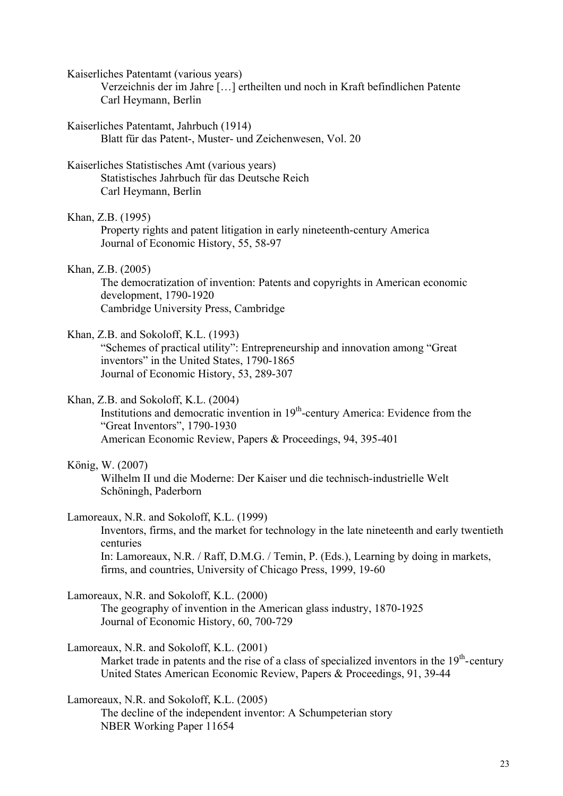Kaiserliches Patentamt (various years)

 Verzeichnis der im Jahre […] ertheilten und noch in Kraft befindlichen Patente Carl Heymann, Berlin

Kaiserliches Patentamt, Jahrbuch (1914) Blatt für das Patent-, Muster- und Zeichenwesen, Vol. 20

# Kaiserliches Statistisches Amt (various years)

 Statistisches Jahrbuch für das Deutsche Reich Carl Heymann, Berlin

Khan, Z.B. (1995)

 Property rights and patent litigation in early nineteenth-century America Journal of Economic History, 55, 58-97

# Khan, Z.B. (2005)

 The democratization of invention: Patents and copyrights in American economic development, 1790-1920 Cambridge University Press, Cambridge

# Khan, Z.B. and Sokoloff, K.L. (1993)

 "Schemes of practical utility": Entrepreneurship and innovation among "Great inventors" in the United States, 1790-1865 Journal of Economic History, 53, 289-307

# Khan, Z.B. and Sokoloff, K.L. (2004)

Institutions and democratic invention in  $19<sup>th</sup>$ -century America: Evidence from the "Great Inventors", 1790-1930 American Economic Review, Papers & Proceedings, 94, 395-401

# König, W. (2007)

 Wilhelm II und die Moderne: Der Kaiser und die technisch-industrielle Welt Schöningh, Paderborn

# Lamoreaux, N.R. and Sokoloff, K.L. (1999)

 Inventors, firms, and the market for technology in the late nineteenth and early twentieth centuries

 In: Lamoreaux, N.R. / Raff, D.M.G. / Temin, P. (Eds.), Learning by doing in markets, firms, and countries, University of Chicago Press, 1999, 19-60

# Lamoreaux, N.R. and Sokoloff, K.L. (2000)

 The geography of invention in the American glass industry, 1870-1925 Journal of Economic History, 60, 700-729

# Lamoreaux, N.R. and Sokoloff, K.L. (2001)

Market trade in patents and the rise of a class of specialized inventors in the  $19<sup>th</sup>$ -century United States American Economic Review, Papers & Proceedings, 91, 39-44

# Lamoreaux, N.R. and Sokoloff, K.L. (2005)

 The decline of the independent inventor: A Schumpeterian story NBER Working Paper 11654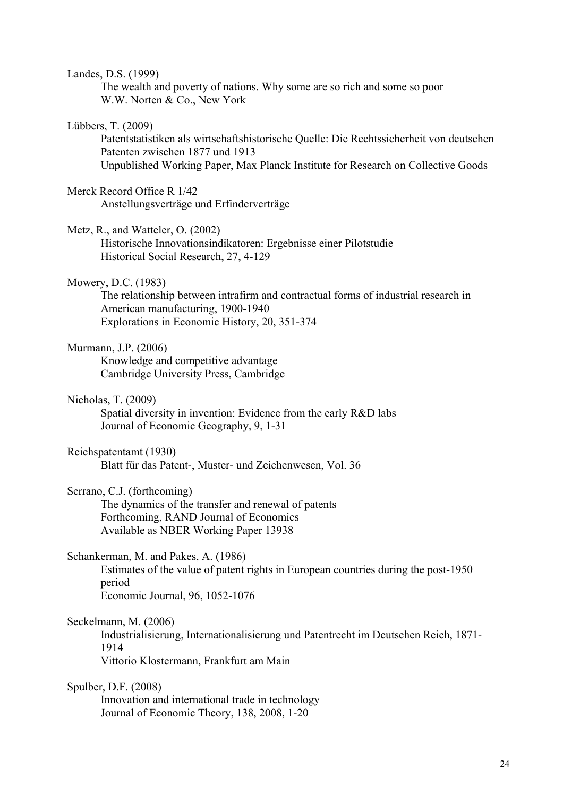| Landes, D.S. (1999) |  |
|---------------------|--|
|---------------------|--|

 The wealth and poverty of nations. Why some are so rich and some so poor W.W. Norten & Co., New York

#### Lübbers, T. (2009)

 Patentstatistiken als wirtschaftshistorische Quelle: Die Rechtssicherheit von deutschen Patenten zwischen 1877 und 1913 Unpublished Working Paper, Max Planck Institute for Research on Collective Goods

#### Merck Record Office R 1/42

Anstellungsverträge und Erfinderverträge

Metz, R., and Watteler, O. (2002)

 Historische Innovationsindikatoren: Ergebnisse einer Pilotstudie Historical Social Research, 27, 4-129

#### Mowery, D.C. (1983)

 The relationship between intrafirm and contractual forms of industrial research in American manufacturing, 1900-1940 Explorations in Economic History, 20, 351-374

### Murmann, J.P. (2006)

 Knowledge and competitive advantage Cambridge University Press, Cambridge

Nicholas, T. (2009)

 Spatial diversity in invention: Evidence from the early R&D labs Journal of Economic Geography, 9, 1-31

#### Reichspatentamt (1930)

Blatt für das Patent-, Muster- und Zeichenwesen, Vol. 36

# Serrano, C.J. (forthcoming)

 The dynamics of the transfer and renewal of patents Forthcoming, RAND Journal of Economics Available as NBER Working Paper 13938

### Schankerman, M. and Pakes, A. (1986)

 Estimates of the value of patent rights in European countries during the post-1950 period Economic Journal, 96, 1052-1076

#### Seckelmann, M. (2006)

 Industrialisierung, Internationalisierung und Patentrecht im Deutschen Reich, 1871- 1914 Vittorio Klostermann, Frankfurt am Main

#### Spulber, D.F. (2008)

 Innovation and international trade in technology Journal of Economic Theory, 138, 2008, 1-20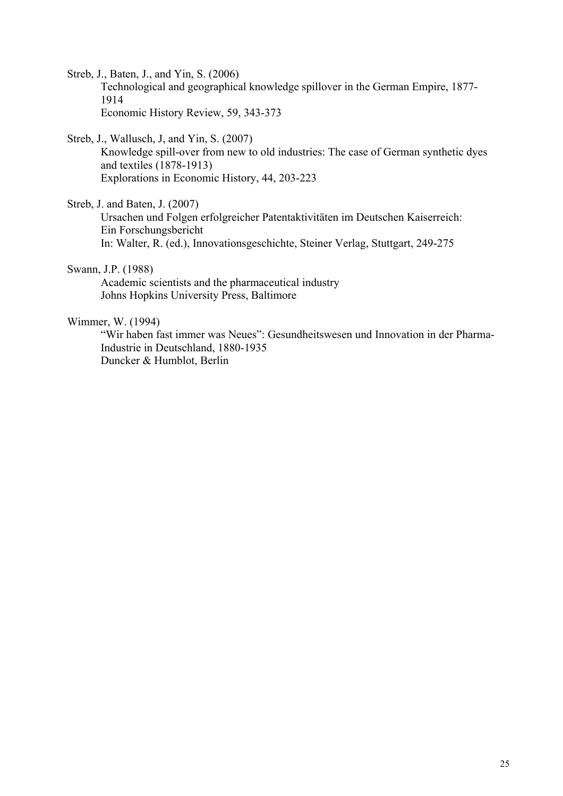Streb, J., Baten, J., and Yin, S. (2006)

 Technological and geographical knowledge spillover in the German Empire, 1877- 1914 Economic History Review, 59, 343-373

Streb, J., Wallusch, J, and Yin, S. (2007)

 Knowledge spill-over from new to old industries: The case of German synthetic dyes and textiles (1878-1913) Explorations in Economic History, 44, 203-223

Streb, J. and Baten, J. (2007)

 Ursachen und Folgen erfolgreicher Patentaktivitäten im Deutschen Kaiserreich: Ein Forschungsbericht In: Walter, R. (ed.), Innovationsgeschichte, Steiner Verlag, Stuttgart, 249-275

# Swann, J.P. (1988)

 Academic scientists and the pharmaceutical industry Johns Hopkins University Press, Baltimore

#### Wimmer, W. (1994)

 "Wir haben fast immer was Neues": Gesundheitswesen und Innovation in der Pharma- Industrie in Deutschland, 1880-1935 Duncker & Humblot, Berlin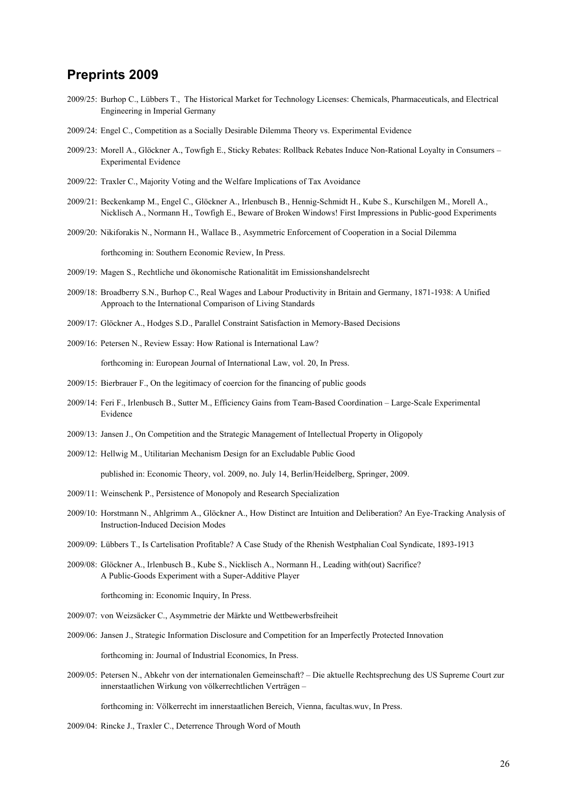# **Preprints 2009**

- 2009/25: Burhop C., Lübbers T., The Historical Market for Technology Licenses: Chemicals, Pharmaceuticals, and Electrical Engineering in Imperial Germany
- 2009/24: Engel C., Competition as a Socially Desirable Dilemma Theory vs. Experimental Evidence
- 2009/23: Morell A., Glöckner A., Towfigh E., Sticky Rebates: Rollback Rebates Induce Non-Rational Loyalty in Consumers Experimental Evidence
- 2009/22: Traxler C., Majority Voting and the Welfare Implications of Tax Avoidance
- 2009/21: Beckenkamp M., Engel C., Glöckner A., Irlenbusch B., Hennig-Schmidt H., Kube S., Kurschilgen M., Morell A., Nicklisch A., Normann H., Towfigh E., Beware of Broken Windows! First Impressions in Public-good Experiments
- 2009/20: Nikiforakis N., Normann H., Wallace B., Asymmetric Enforcement of Cooperation in a Social Dilemma

forthcoming in: Southern Economic Review, In Press.

- 2009/19: Magen S., Rechtliche und ökonomische Rationalität im Emissionshandelsrecht
- 2009/18: Broadberry S.N., Burhop C., Real Wages and Labour Productivity in Britain and Germany, 1871-1938: A Unified Approach to the International Comparison of Living Standards
- 2009/17: Glöckner A., Hodges S.D., Parallel Constraint Satisfaction in Memory-Based Decisions
- 2009/16: Petersen N., Review Essay: How Rational is International Law? forthcoming in: European Journal of International Law, vol. 20, In Press.
- 2009/15: Bierbrauer F., On the legitimacy of coercion for the financing of public goods
- 2009/14: Feri F., Irlenbusch B., Sutter M., Efficiency Gains from Team-Based Coordination Large-Scale Experimental Evidence
- 2009/13: Jansen J., On Competition and the Strategic Management of Intellectual Property in Oligopoly
- 2009/12: Hellwig M., Utilitarian Mechanism Design for an Excludable Public Good

published in: Economic Theory, vol. 2009, no. July 14, Berlin/Heidelberg, Springer, 2009.

- 2009/11: Weinschenk P., Persistence of Monopoly and Research Specialization
- 2009/10: Horstmann N., Ahlgrimm A., Glöckner A., How Distinct are Intuition and Deliberation? An Eye-Tracking Analysis of Instruction-Induced Decision Modes
- 2009/09: Lübbers T., Is Cartelisation Profitable? A Case Study of the Rhenish Westphalian Coal Syndicate, 1893-1913
- 2009/08: Glöckner A., Irlenbusch B., Kube S., Nicklisch A., Normann H., Leading with(out) Sacrifice? A Public-Goods Experiment with a Super-Additive Player

forthcoming in: Economic Inquiry, In Press.

- 2009/07: von Weizsäcker C., Asymmetrie der Märkte und Wettbewerbsfreiheit
- 2009/06: Jansen J., Strategic Information Disclosure and Competition for an Imperfectly Protected Innovation

forthcoming in: Journal of Industrial Economics, In Press.

2009/05: Petersen N., Abkehr von der internationalen Gemeinschaft? – Die aktuelle Rechtsprechung des US Supreme Court zur innerstaatlichen Wirkung von völkerrechtlichen Verträgen –

forthcoming in: Völkerrecht im innerstaatlichen Bereich, Vienna, facultas.wuv, In Press.

2009/04: Rincke J., Traxler C., Deterrence Through Word of Mouth